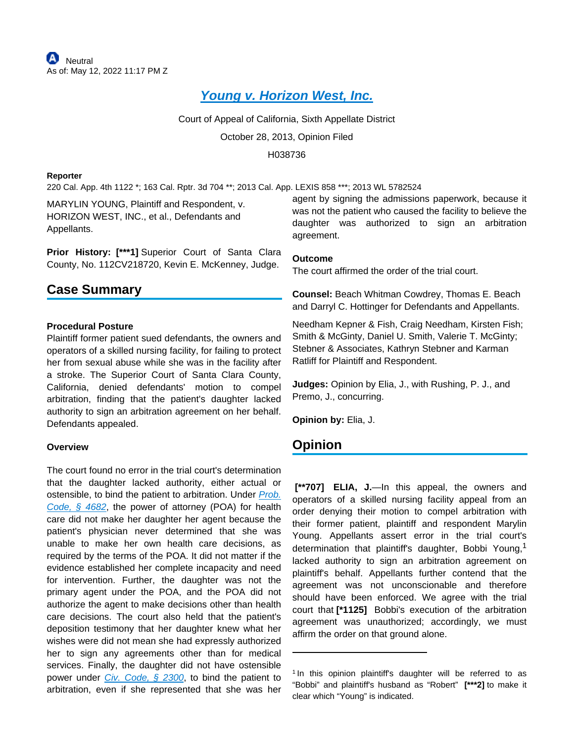# **[Young v. Horizon West, Inc.](https://plus.lexis.com/api/document?collection=cases&id=urn:contentItem:59P7-VTB1-F04B-N0HY-00000-00&context=1530671)**

Court of Appeal of California, Sixth Appellate District

October 28, 2013, Opinion Filed

H038736

#### **Reporter**

220 Cal. App. 4th 1122 \*; 163 Cal. Rptr. 3d 704 \*\*; 2013 Cal. App. LEXIS 858 \*\*\*; 2013 WL 5782524

MARYLIN YOUNG, Plaintiff and Respondent, v. HORIZON WEST, INC., et al., Defendants and Appellants.

**Prior History: [\*\*\*1]** Superior Court of Santa Clara County, No. 112CV218720, Kevin E. McKenney, Judge.

# **Case Summary**

#### **Procedural Posture**

Plaintiff former patient sued defendants, the owners and operators of a skilled nursing facility, for failing to protect her from sexual abuse while she was in the facility after a stroke. The Superior Court of Santa Clara County, California, denied defendants' motion to compel arbitration, finding that the patient's daughter lacked authority to sign an arbitration agreement on her behalf. Defendants appealed.

### **Overview**

The court found no error in the trial court's determination that the daughter lacked authority, either actual or ostensible, to bind the patient to arbitration. Under *Prob.* [Code, § 4682](https://plus.lexis.com/api/document?collection=statutes-legislation&id=urn:contentItem:5J6S-5RS1-66B9-84FJ-00000-00&context=1530671), the power of attorney (POA) for health care did not make her daughter her agent because the patient's physician never determined that she was unable to make her own health care decisions, as required by the terms of the POA. It did not matter if the evidence established her complete incapacity and need for intervention. Further, the daughter was not the primary agent under the POA, and the POA did not authorize the agent to make decisions other than health care decisions. The court also held that the patient's deposition testimony that her daughter knew what her wishes were did not mean she had expressly authorized her to sign any agreements other than for medical services. Finally, the daughter did not have ostensible power under Civ. Code,  $\S$  2300, to bind the patient to arbitration, even if she represented that she was her

agent by signing the admissions paperwork, because it was not the patient who caused the facility to believe the daughter was authorized to sign an arbitration agreement.

#### **Outcome**

The court affirmed the order of the trial court.

**Counsel:** Beach Whitman Cowdrey, Thomas E. Beach and Darryl C. Hottinger for Defendants and Appellants.

Needham Kepner & Fish, Craig Needham, Kirsten Fish; Smith & McGinty, Daniel U. Smith, Valerie T. McGinty; Stebner & Associates, Kathryn Stebner and Karman Ratliff for Plaintiff and Respondent.

**Judges:** Opinion by Elia, J., with Rushing, P. J., and Premo, J., concurring.

**Opinion by:** Elia, J.

# **Opinion**

 **[\*\*707] ELIA, J.**—In this appeal, the owners and operators of a skilled nursing facility appeal from an order denying their motion to compel arbitration with their former patient, plaintiff and respondent Marylin Young. Appellants assert error in the trial court's determination that plaintiff's daughter, Bobbi Young,<sup>1</sup> lacked authority to sign an arbitration agreement on plaintiff's behalf. Appellants further contend that the agreement was not unconscionable and therefore should have been enforced. We agree with the trial court that **[\*1125]** Bobbi's execution of the arbitration agreement was unauthorized; accordingly, we must affirm the order on that ground alone.

<sup>&</sup>lt;sup>1</sup> In this opinion plaintiff's daughter will be referred to as "Bobbi" and plaintiff's husband as "Robert" **[\*\*\*2]** to make it clear which "Young" is indicated.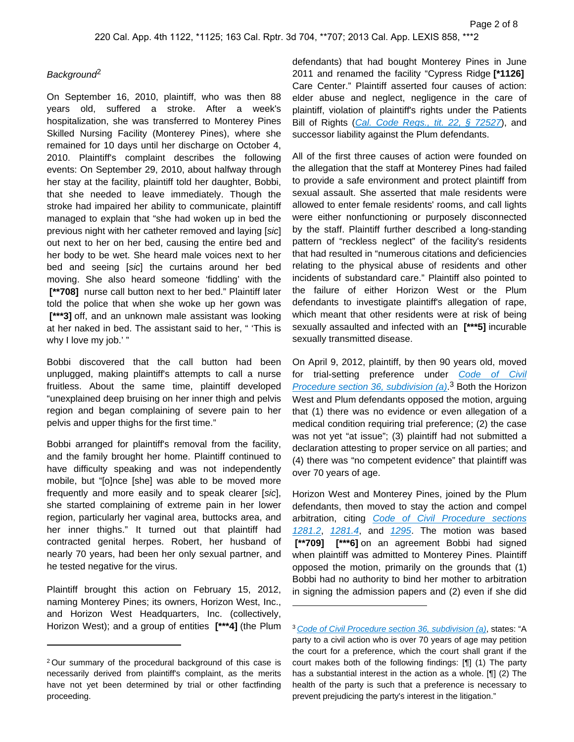## **Background**<sup>2</sup>

On September 16, 2010, plaintiff, who was then 88 years old, suffered a stroke. After a week's hospitalization, she was transferred to Monterey Pines Skilled Nursing Facility (Monterey Pines), where she remained for 10 days until her discharge on October 4, 2010. Plaintiff's complaint describes the following events: On September 29, 2010, about halfway through her stay at the facility, plaintiff told her daughter, Bobbi, that she needed to leave immediately. Though the stroke had impaired her ability to communicate, plaintiff managed to explain that "she had woken up in bed the previous night with her catheter removed and laying [sic] out next to her on her bed, causing the entire bed and her body to be wet. She heard male voices next to her bed and seeing [sic] the curtains around her bed moving. She also heard someone 'fiddling' with the  **[\*\*708]** nurse call button next to her bed." Plaintiff later told the police that when she woke up her gown was  **[\*\*\*3]** off, and an unknown male assistant was looking at her naked in bed. The assistant said to her, " 'This is why I love my job.'"

Bobbi discovered that the call button had been unplugged, making plaintiff's attempts to call a nurse fruitless. About the same time, plaintiff developed "unexplained deep bruising on her inner thigh and pelvis region and began complaining of severe pain to her pelvis and upper thighs for the first time."

Bobbi arranged for plaintiff's removal from the facility, and the family brought her home. Plaintiff continued to have difficulty speaking and was not independently mobile, but "[o]nce [she] was able to be moved more frequently and more easily and to speak clearer [sic], she started complaining of extreme pain in her lower region, particularly her vaginal area, buttocks area, and her inner thighs." It turned out that plaintiff had contracted genital herpes. Robert, her husband of nearly 70 years, had been her only sexual partner, and he tested negative for the virus.

Plaintiff brought this action on February 15, 2012, naming Monterey Pines; its owners, Horizon West, Inc., and Horizon West Headquarters, Inc. (collectively, Horizon West); and a group of entities **[\*\*\*4]** (the Plum defendants) that had bought Monterey Pines in June 2011 and renamed the facility "Cypress Ridge **[\*1126]**  Care Center." Plaintiff asserted four causes of action: elder abuse and neglect, negligence in the care of plaintiff, violation of plaintiff's rights under the Patients Bill of Rights ([Cal. Code Regs., tit. 22, § 72527](https://plus.lexis.com/api/document?collection=administrative-codes&id=urn:contentItem:5X10-2PV1-JTNR-M416-00009-00&context=1530671)), and successor liability against the Plum defendants.

All of the first three causes of action were founded on the allegation that the staff at Monterey Pines had failed to provide a safe environment and protect plaintiff from sexual assault. She asserted that male residents were allowed to enter female residents' rooms, and call lights were either nonfunctioning or purposely disconnected by the staff. Plaintiff further described a long-standing pattern of "reckless neglect" of the facility's residents that had resulted in "numerous citations and deficiencies relating to the physical abuse of residents and other incidents of substandard care." Plaintiff also pointed to the failure of either Horizon West or the Plum defendants to investigate plaintiff's allegation of rape, which meant that other residents were at risk of being sexually assaulted and infected with an **[\*\*\*5]** incurable sexually transmitted disease.

On April 9, 2012, plaintiff, by then 90 years old, moved for trial-setting preference under Code of Civil Procedure section 36, subdivision  $(a)$ <sup>3</sup> Both the Horizon West and Plum defendants opposed the motion, arguing that (1) there was no evidence or even allegation of a medical condition requiring trial preference; (2) the case was not yet "at issue"; (3) plaintiff had not submitted a declaration attesting to proper service on all parties; and (4) there was "no competent evidence" that plaintiff was over 70 years of age.

Horizon West and Monterey Pines, joined by the Plum defendants, then moved to stay the action and compel arbitration, citing [Code of Civil Procedure sections](https://plus.lexis.com/api/document?collection=statutes-legislation&id=urn:contentItem:8S77-WG12-8T6X-73TH-00000-00&context=1530671)  [1281.2](https://plus.lexis.com/api/document?collection=statutes-legislation&id=urn:contentItem:8S77-WG12-8T6X-73TH-00000-00&context=1530671), [1281.4](https://plus.lexis.com/api/document?collection=statutes-legislation&id=urn:contentItem:5J6R-DBF1-66B9-80R3-00000-00&context=1530671), and [1295](https://plus.lexis.com/api/document?collection=statutes-legislation&id=urn:contentItem:5J6R-DC31-66B9-8432-00000-00&context=1530671). The motion was based  **[\*\*709] [\*\*\*6]** on an agreement Bobbi had signed when plaintiff was admitted to Monterey Pines. Plaintiff opposed the motion, primarily on the grounds that (1) Bobbi had no authority to bind her mother to arbitration in signing the admission papers and (2) even if she did

<sup>2</sup>Our summary of the procedural background of this case is necessarily derived from plaintiff's complaint, as the merits have not yet been determined by trial or other factfinding proceeding.

<sup>&</sup>lt;sup>3</sup> [Code of Civil Procedure section 36, subdivision \(a\)](https://plus.lexis.com/api/document?collection=statutes-legislation&id=urn:contentItem:5J6R-DDN1-66B9-80CX-00000-00&context=1530671), states: "A party to a civil action who is over 70 years of age may petition the court for a preference, which the court shall grant if the court makes both of the following findings: [¶] (1) The party has a substantial interest in the action as a whole. [¶] (2) The health of the party is such that a preference is necessary to prevent prejudicing the party's interest in the litigation."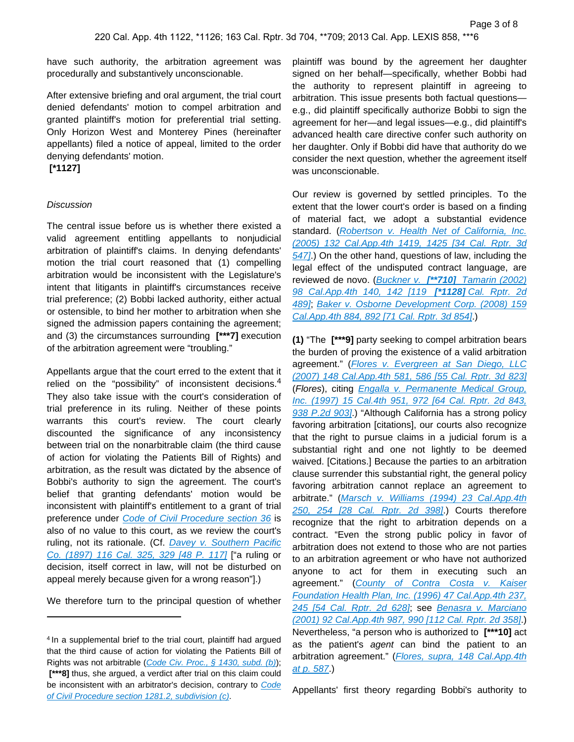have such authority, the arbitration agreement was procedurally and substantively unconscionable.

After extensive briefing and oral argument, the trial court denied defendants' motion to compel arbitration and granted plaintiff's motion for preferential trial setting. Only Horizon West and Monterey Pines (hereinafter appellants) filed a notice of appeal, limited to the order denying defendants' motion.

 **[\*1127]** 

### **Discussion**

The central issue before us is whether there existed a valid agreement entitling appellants to nonjudicial arbitration of plaintiff's claims. In denying defendants' motion the trial court reasoned that (1) compelling arbitration would be inconsistent with the Legislature's intent that litigants in plaintiff's circumstances receive trial preference; (2) Bobbi lacked authority, either actual or ostensible, to bind her mother to arbitration when she signed the admission papers containing the agreement; and (3) the circumstances surrounding **[\*\*\*7]** execution of the arbitration agreement were "troubling."

Appellants argue that the court erred to the extent that it relied on the "possibility" of inconsistent decisions.<sup>4</sup> They also take issue with the court's consideration of trial preference in its ruling. Neither of these points warrants this court's review. The court clearly discounted the significance of any inconsistency between trial on the nonarbitrable claim (the third cause of action for violating the Patients Bill of Rights) and arbitration, as the result was dictated by the absence of Bobbi's authority to sign the agreement. The court's belief that granting defendants' motion would be inconsistent with plaintiff's entitlement to a grant of trial preference under [Code of Civil Procedure section 36](https://plus.lexis.com/api/document?collection=statutes-legislation&id=urn:contentItem:5J6R-DDN1-66B9-80CX-00000-00&context=1530671) is also of no value to this court, as we review the court's ruling, not its rationale. (Cf. Davey v. Southern Pacific [Co. \(1897\) 116 Cal. 325, 329 \[48 P. 117\]](https://plus.lexis.com/api/document?collection=cases&id=urn:contentItem:3S11-SFR0-003D-K128-00000-00&context=1530671) ["a ruling or decision, itself correct in law, will not be disturbed on appeal merely because given for a wrong reason"].)

We therefore turn to the principal question of whether

plaintiff was bound by the agreement her daughter signed on her behalf—specifically, whether Bobbi had the authority to represent plaintiff in agreeing to arbitration. This issue presents both factual questions e.g., did plaintiff specifically authorize Bobbi to sign the agreement for her—and legal issues—e.g., did plaintiff's advanced health care directive confer such authority on her daughter. Only if Bobbi did have that authority do we consider the next question, whether the agreement itself was unconscionable.

Our review is governed by settled principles. To the extent that the lower court's order is based on a finding of material fact, we adopt a substantial evidence standard. (Robertson v. Health Net of California, Inc. [\(2005\) 132 Cal.App.4th 1419, 1425 \[34 Cal. Rptr. 3d](https://plus.lexis.com/api/document?collection=cases&id=urn:contentItem:4H6S-NPV0-0039-4492-00000-00&context=1530671)  [547\]](https://plus.lexis.com/api/document?collection=cases&id=urn:contentItem:4H6S-NPV0-0039-4492-00000-00&context=1530671). On the other hand, questions of law, including the legal effect of the undisputed contract language, are reviewed de novo. (Buckner v. **[\*\*710]** [Tamarin \(2002\)](https://plus.lexis.com/api/document?collection=cases&id=urn:contentItem:45S3-Y1P0-0039-4282-00000-00&context=1530671)  [98 Cal.App.4th 140, 142 \[119](https://plus.lexis.com/api/document?collection=cases&id=urn:contentItem:45S3-Y1P0-0039-4282-00000-00&context=1530671) **[\*1128]** Cal. Rptr. 2d [489\]](https://plus.lexis.com/api/document?collection=cases&id=urn:contentItem:45S3-Y1P0-0039-4282-00000-00&context=1530671); [Baker v. Osborne Development Corp. \(2008\) 159](https://plus.lexis.com/api/document?collection=cases&id=urn:contentItem:4RR6-5MT0-TXFN-722F-00000-00&context=1530671)  [Cal.App.4th 884, 892 \[71 Cal. Rptr. 3d 854\]](https://plus.lexis.com/api/document?collection=cases&id=urn:contentItem:4RR6-5MT0-TXFN-722F-00000-00&context=1530671).)

**(1)** "The **[\*\*\*9]** party seeking to compel arbitration bears the burden of proving the existence of a valid arbitration agreement." (Flores v. Evergreen at San Diego, LLC [\(2007\) 148 Cal.App.4th 581, 586 \[55 Cal. Rptr. 3d 823\]](https://plus.lexis.com/api/document?collection=cases&id=urn:contentItem:4N81-69K0-0039-40SC-00000-00&context=1530671) (Flores), citing [Engalla v. Permanente Medical Group,](https://plus.lexis.com/api/document?collection=cases&id=urn:contentItem:3RJN-38N0-0039-43TW-00000-00&context=1530671)  [Inc. \(1997\) 15 Cal.4th 951, 972 \[64 Cal. Rptr. 2d 843,](https://plus.lexis.com/api/document?collection=cases&id=urn:contentItem:3RJN-38N0-0039-43TW-00000-00&context=1530671)  [938 P.2d 903\]](https://plus.lexis.com/api/document?collection=cases&id=urn:contentItem:3RJN-38N0-0039-43TW-00000-00&context=1530671).) "Although California has a strong policy favoring arbitration [citations], our courts also recognize that the right to pursue claims in a judicial forum is a substantial right and one not lightly to be deemed waived. [Citations.] Because the parties to an arbitration clause surrender this substantial right, the general policy favoring arbitration cannot replace an agreement to arbitrate." ([Marsch v. Williams \(1994\) 23 Cal.App.4th](https://plus.lexis.com/api/document?collection=cases&id=urn:contentItem:3RX6-G690-003D-J18W-00000-00&context=1530671)  [250, 254 \[28 Cal. Rptr. 2d 398\]](https://plus.lexis.com/api/document?collection=cases&id=urn:contentItem:3RX6-G690-003D-J18W-00000-00&context=1530671).) Courts therefore recognize that the right to arbitration depends on a contract. "Even the strong public policy in favor of arbitration does not extend to those who are not parties to an arbitration agreement or who have not authorized anyone to act for them in executing such an agreement." ([County of Contra Costa v. Kaiser](https://plus.lexis.com/api/document?collection=cases&id=urn:contentItem:3RX6-F790-003D-J2W5-00000-00&context=1530671)  [Foundation Health Plan, Inc. \(1996\) 47 Cal.App.4th 237,](https://plus.lexis.com/api/document?collection=cases&id=urn:contentItem:3RX6-F790-003D-J2W5-00000-00&context=1530671)  [245 \[54 Cal. Rptr. 2d 628\]](https://plus.lexis.com/api/document?collection=cases&id=urn:contentItem:3RX6-F790-003D-J2W5-00000-00&context=1530671); see [Benasra v. Marciano](https://plus.lexis.com/api/document?collection=cases&id=urn:contentItem:445K-1TV0-0039-44G6-00000-00&context=1530671)  [\(2001\) 92 Cal.App.4th 987, 990 \[112 Cal. Rptr. 2d 358\]](https://plus.lexis.com/api/document?collection=cases&id=urn:contentItem:445K-1TV0-0039-44G6-00000-00&context=1530671).) Nevertheless, "a person who is authorized to **[\*\*\*10]** act as the patient's agent can bind the patient to an arbitration agreement." (Flores, supra, 148 Cal.App.4th [at p. 587](https://plus.lexis.com/api/document?collection=cases&id=urn:contentItem:4N81-69K0-0039-40SC-00000-00&context=1530671).)

Appellants' first theory regarding Bobbi's authority to

<sup>&</sup>lt;sup>4</sup> In a supplemental brief to the trial court, plaintiff had argued that the third cause of action for violating the Patients Bill of Rights was not arbitrable ([Code Civ. Proc., § 1430, subd. \(b\)](https://plus.lexis.com/api/document?collection=statutes-legislation&id=urn:contentItem:5J6R-DC31-66B9-84VV-00000-00&context=1530671));  **[\*\*\*8]** thus, she argued, a verdict after trial on this claim could be inconsistent with an arbitrator's decision, contrary to Code [of Civil Procedure section 1281.2, subdivision \(c\)](https://plus.lexis.com/api/document?collection=statutes-legislation&id=urn:contentItem:8S77-WG12-8T6X-73TH-00000-00&context=1530671).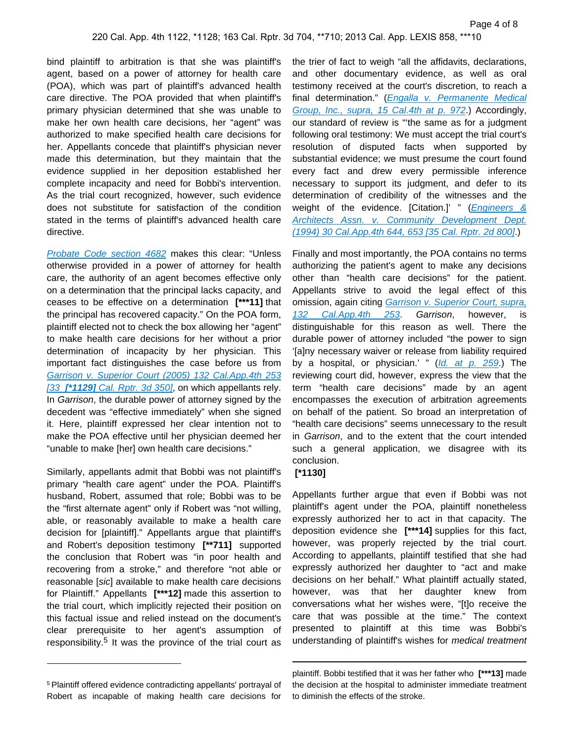bind plaintiff to arbitration is that she was plaintiff's agent, based on a power of attorney for health care (POA), which was part of plaintiff's advanced health care directive. The POA provided that when plaintiff's primary physician determined that she was unable to make her own health care decisions, her "agent" was authorized to make specified health care decisions for her. Appellants concede that plaintiff's physician never made this determination, but they maintain that the evidence supplied in her deposition established her complete incapacity and need for Bobbi's intervention. As the trial court recognized, however, such evidence does not substitute for satisfaction of the condition stated in the terms of plaintiff's advanced health care directive.

[Probate Code section 4682](https://plus.lexis.com/api/document?collection=statutes-legislation&id=urn:contentItem:5J6S-5RS1-66B9-84FJ-00000-00&context=1530671) makes this clear: "Unless otherwise provided in a power of attorney for health care, the authority of an agent becomes effective only on a determination that the principal lacks capacity, and ceases to be effective on a determination **[\*\*\*11]** that the principal has recovered capacity." On the POA form, plaintiff elected not to check the box allowing her "agent" to make health care decisions for her without a prior determination of incapacity by her physician. This important fact distinguishes the case before us from [Garrison v. Superior Court \(2005\) 132 Cal.App.4th 253](https://plus.lexis.com/api/document?collection=cases&id=urn:contentItem:4H0C-JDD0-0039-41JS-00000-00&context=1530671)  [33 **[\*1129]** [Cal. Rptr. 3d 350\]](https://plus.lexis.com/api/document?collection=cases&id=urn:contentItem:4H0C-JDD0-0039-41JS-00000-00&context=1530671), on which appellants rely. In Garrison, the durable power of attorney signed by the decedent was "effective immediately" when she signed it. Here, plaintiff expressed her clear intention not to make the POA effective until her physician deemed her "unable to make [her] own health care decisions."

Similarly, appellants admit that Bobbi was not plaintiff's primary "health care agent" under the POA. Plaintiff's husband, Robert, assumed that role; Bobbi was to be the "first alternate agent" only if Robert was "not willing, able, or reasonably available to make a health care decision for [plaintiff]." Appellants argue that plaintiff's and Robert's deposition testimony **[\*\*711]** supported the conclusion that Robert was "in poor health and recovering from a stroke," and therefore "not able or reasonable [sic] available to make health care decisions for Plaintiff." Appellants **[\*\*\*12]** made this assertion to the trial court, which implicitly rejected their position on this factual issue and relied instead on the document's clear prerequisite to her agent's assumption of responsibility.<sup>5</sup> It was the province of the trial court as the trier of fact to weigh "all the affidavits, declarations, and other documentary evidence, as well as oral testimony received at the court's discretion, to reach a final determination." (Engalla v. Permanente Medical [Group, Inc., supra, 15 Cal.4th at p. 972](https://plus.lexis.com/api/document?collection=cases&id=urn:contentItem:3RJN-38N0-0039-43TW-00000-00&context=1530671).) Accordingly, our standard of review is "'the same as for a judgment following oral testimony: We must accept the trial court's resolution of disputed facts when supported by substantial evidence; we must presume the court found every fact and drew every permissible inference necessary to support its judgment, and defer to its determination of credibility of the witnesses and the weight of the evidence. [Citation.]' " (*Engineers &* [Architects Assn. v. Community Development Dept.](https://plus.lexis.com/api/document?collection=cases&id=urn:contentItem:3RX6-FWY0-003D-J03V-00000-00&context=1530671)  [\(1994\) 30 Cal.App.4th 644, 653 \[35 Cal. Rptr. 2d 800\]](https://plus.lexis.com/api/document?collection=cases&id=urn:contentItem:3RX6-FWY0-003D-J03V-00000-00&context=1530671).)

Finally and most importantly, the POA contains no terms authorizing the patient's agent to make any decisions other than "health care decisions" for the patient. Appellants strive to avoid the legal effect of this omission, again citing Garrison v. Superior Court, supra, [132 Cal.App.4th 253](https://plus.lexis.com/api/document?collection=cases&id=urn:contentItem:4H0C-JDD0-0039-41JS-00000-00&context=1530671) Garrison, however, is distinguishable for this reason as well. There the durable power of attorney included "the power to sign '[a]ny necessary waiver or release from liability required by a hospital, or physician.' " ([Id. at p. 259](https://plus.lexis.com/api/document?collection=cases&id=urn:contentItem:4H0C-JDD0-0039-41JS-00000-00&context=1530671).) The reviewing court did, however, express the view that the term "health care decisions" made by an agent encompasses the execution of arbitration agreements on behalf of the patient. So broad an interpretation of "health care decisions" seems unnecessary to the result in Garrison, and to the extent that the court intended such a general application, we disagree with its conclusion.

### **[\*1130]**

Appellants further argue that even if Bobbi was not plaintiff's agent under the POA, plaintiff nonetheless expressly authorized her to act in that capacity. The deposition evidence she **[\*\*\*14]** supplies for this fact, however, was properly rejected by the trial court. According to appellants, plaintiff testified that she had expressly authorized her daughter to "act and make decisions on her behalf." What plaintiff actually stated, however, was that her daughter knew from conversations what her wishes were, "[t]o receive the care that was possible at the time." The context presented to plaintiff at this time was Bobbi's understanding of plaintiff's wishes for medical treatment

<sup>&</sup>lt;sup>5</sup> Plaintiff offered evidence contradicting appellants' portrayal of Robert as incapable of making health care decisions for

plaintiff. Bobbi testified that it was her father who **[\*\*\*13]** made the decision at the hospital to administer immediate treatment to diminish the effects of the stroke.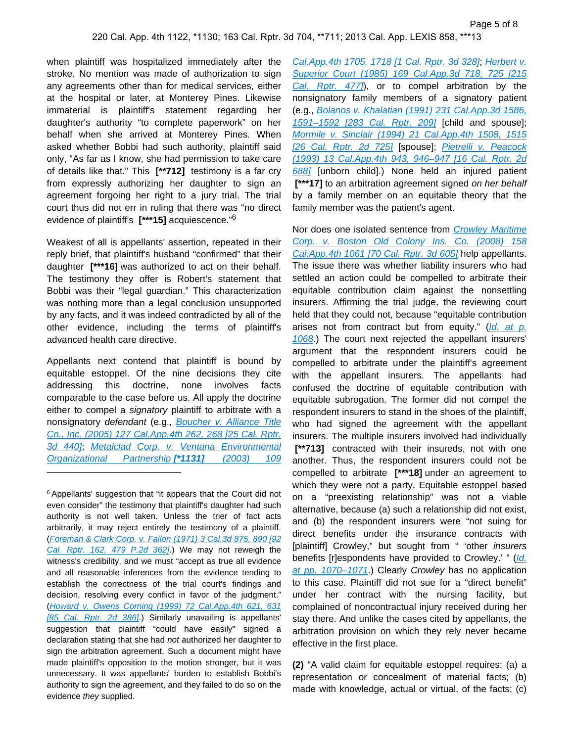when plaintiff was hospitalized immediately after the stroke. No mention was made of authorization to sign any agreements other than for medical services, either at the hospital or later, at Monterey Pines. Likewise immaterial is plaintiff's statement regarding her daughter's authority "to complete paperwork" on her behalf when she arrived at Monterey Pines. When asked whether Bobbi had such authority, plaintiff said only, "As far as I know, she had permission to take care of details like that." This **[\*\*712]** testimony is a far cry from expressly authorizing her daughter to sign an agreement forgoing her right to a jury trial. The trial court thus did not err in ruling that there was "no direct evidence of plaintiff's **[\*\*\*15]** acquiescence."<sup>6</sup>

Weakest of all is appellants' assertion, repeated in their reply brief, that plaintiff's husband "confirmed" that their daughter **[\*\*\*16]** was authorized to act on their behalf. The testimony they offer is Robert's statement that Bobbi was their "legal guardian." This characterization was nothing more than a legal conclusion unsupported by any facts, and it was indeed contradicted by all of the other evidence, including the terms of plaintiff's advanced health care directive.

Appellants next contend that plaintiff is bound by equitable estoppel. Of the nine decisions they cite addressing this doctrine, none involves facts comparable to the case before us. All apply the doctrine either to compel a signatory plaintiff to arbitrate with a nonsignatory defendant (e.g., Boucher v. Alliance Title [Co., Inc. \(2005\) 127 Cal.App.4th 262, 268 \[25 Cal. Rptr.](https://plus.lexis.com/api/document?collection=cases&id=urn:contentItem:4FM3-D010-0039-451B-00000-00&context=1530671)  [3d 440\]](https://plus.lexis.com/api/document?collection=cases&id=urn:contentItem:4FM3-D010-0039-451B-00000-00&context=1530671); [Metalclad Corp. v. Ventana Environmental](https://plus.lexis.com/api/document?collection=cases&id=urn:contentItem:48YP-R2D0-0039-4077-00000-00&context=1530671)  [Organizational Partnership](https://plus.lexis.com/api/document?collection=cases&id=urn:contentItem:48YP-R2D0-0039-4077-00000-00&context=1530671) **[\*1131]** (2003) 109

<sup>6</sup> Appellants' suggestion that "it appears that the Court did not even consider" the testimony that plaintiff's daughter had such authority is not well taken. Unless the trier of fact acts arbitrarily, it may reject entirely the testimony of a plaintiff. ([Foreman & Clark Corp. v. Fallon \(1971\) 3 Cal.3d 875, 890 \[92](https://plus.lexis.com/api/document?collection=cases&id=urn:contentItem:3RRK-JJC0-003C-H0VW-00000-00&context=1530671)  [Cal. Rptr. 162, 479 P.2d 362\]](https://plus.lexis.com/api/document?collection=cases&id=urn:contentItem:3RRK-JJC0-003C-H0VW-00000-00&context=1530671).) We may not reweigh the witness's credibility, and we must "accept as true all evidence and all reasonable inferences from the evidence tending to establish the correctness of the trial court's findings and decision, resolving every conflict in favor of the judgment." ([Howard v. Owens Corning \(1999\) 72 Cal.App.4th 621, 631](https://plus.lexis.com/api/document?collection=cases&id=urn:contentItem:3WJV-S540-0039-42N1-00000-00&context=1530671)  [\[85 Cal. Rptr. 2d 386\]](https://plus.lexis.com/api/document?collection=cases&id=urn:contentItem:3WJV-S540-0039-42N1-00000-00&context=1530671).) Similarly unavailing is appellants' suggestion that plaintiff "could have easily" signed a declaration stating that she had not authorized her daughter to sign the arbitration agreement. Such a document might have made plaintiff's opposition to the motion stronger, but it was unnecessary. It was appellants' burden to establish Bobbi's authority to sign the agreement, and they failed to do so on the evidence they supplied.

[Cal.App.4th 1705, 1718 \[1 Cal. Rptr. 3d 328\]](https://plus.lexis.com/api/document?collection=cases&id=urn:contentItem:48YP-R2D0-0039-4077-00000-00&context=1530671); [Herbert v.](https://plus.lexis.com/api/document?collection=cases&id=urn:contentItem:3RX6-KH30-003D-J4YV-00000-00&context=1530671)  [Superior Court \(1985\) 169 Cal.App.3d 718, 725 \[215](https://plus.lexis.com/api/document?collection=cases&id=urn:contentItem:3RX6-KH30-003D-J4YV-00000-00&context=1530671)  Cal. Rptr. 477), or to compel arbitration by the nonsignatory family members of a signatory patient (e.g., [Bolanos v. Khalatian \(1991\) 231 Cal.App.3d 1586,](https://plus.lexis.com/api/document?collection=cases&id=urn:contentItem:3RX6-H9N0-003D-J0PD-00000-00&context=1530671)  1591-1592 [283 Cal. Rptr. 209] [child and spouse]; [Mormile v. Sinclair \(1994\) 21 Cal.App.4th 1508, 1515](https://plus.lexis.com/api/document?collection=cases&id=urn:contentItem:3RX6-G7X0-003D-J1HD-00000-00&context=1530671)  [\[26 Cal. Rptr. 2d 725\]](https://plus.lexis.com/api/document?collection=cases&id=urn:contentItem:3RX6-G7X0-003D-J1HD-00000-00&context=1530671) [spouse]; [Pietrelli v. Peacock](https://plus.lexis.com/api/document?collection=cases&id=urn:contentItem:3RX6-GM00-003D-J2Y8-00000-00&context=1530671)  [\(1993\) 13 Cal.App.4th 943, 946–947 \[16 Cal. Rptr. 2d](https://plus.lexis.com/api/document?collection=cases&id=urn:contentItem:3RX6-GM00-003D-J2Y8-00000-00&context=1530671)  [688\]](https://plus.lexis.com/api/document?collection=cases&id=urn:contentItem:3RX6-GM00-003D-J2Y8-00000-00&context=1530671) [unborn child].) None held an injured patient  **[\*\*\*17]** to an arbitration agreement signed on her behalf by a family member on an equitable theory that the family member was the patient's agent.

Nor does one isolated sentence from Crowley Maritime [Corp. v. Boston Old Colony Ins. Co. \(2008\) 158](https://plus.lexis.com/api/document?collection=cases&id=urn:contentItem:4RJV-6TM0-TXFN-729C-00000-00&context=1530671)  [Cal.App.4th 1061 \[70 Cal. Rptr. 3d 605\]](https://plus.lexis.com/api/document?collection=cases&id=urn:contentItem:4RJV-6TM0-TXFN-729C-00000-00&context=1530671) help appellants. The issue there was whether liability insurers who had settled an action could be compelled to arbitrate their equitable contribution claim against the nonsettling insurers. Affirming the trial judge, the reviewing court held that they could not, because "equitable contribution arises not from contract but from equity."  $(Id. at p.$ [1068](https://plus.lexis.com/api/document?collection=cases&id=urn:contentItem:4RJV-6TM0-TXFN-729C-00000-00&context=1530671).) The court next rejected the appellant insurers' argument that the respondent insurers could be compelled to arbitrate under the plaintiff's agreement with the appellant insurers. The appellants had confused the doctrine of equitable contribution with equitable subrogation. The former did not compel the respondent insurers to stand in the shoes of the plaintiff, who had signed the agreement with the appellant insurers. The multiple insurers involved had individually  **[\*\*713]** contracted with their insureds, not with one another. Thus, the respondent insurers could not be compelled to arbitrate **[\*\*\*18]** under an agreement to which they were not a party. Equitable estoppel based on a "preexisting relationship" was not a viable alternative, because (a) such a relationship did not exist, and (b) the respondent insurers were "not suing for direct benefits under the insurance contracts with [plaintiff] Crowley," but sought from " 'other insurers benefits [r]espondents have provided to Crowley.' " (Id. [at pp. 1070–1071](https://plus.lexis.com/api/document?collection=cases&id=urn:contentItem:4RJV-6TM0-TXFN-729C-00000-00&context=1530671).) Clearly Crowley has no application to this case. Plaintiff did not sue for a "direct benefit" under her contract with the nursing facility, but complained of noncontractual injury received during her stay there. And unlike the cases cited by appellants, the arbitration provision on which they rely never became effective in the first place.

**(2)** "A valid claim for equitable estoppel requires: (a) a representation or concealment of material facts; (b) made with knowledge, actual or virtual, of the facts; (c)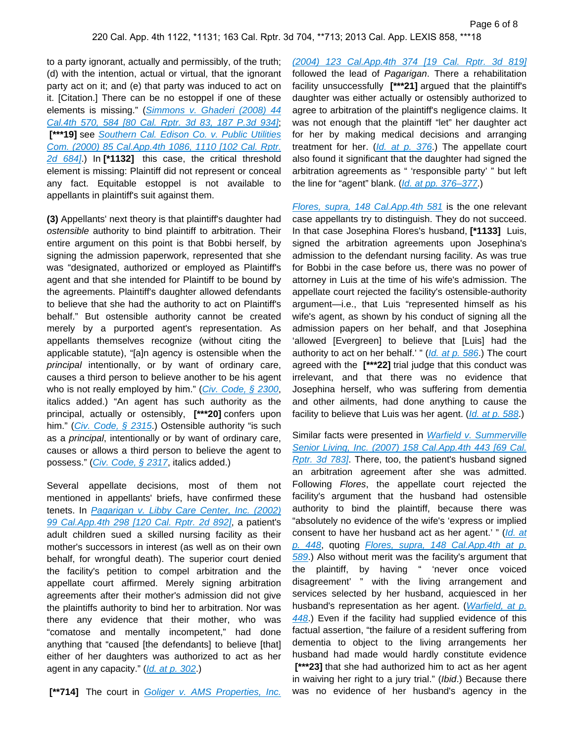to a party ignorant, actually and permissibly, of the truth; (d) with the intention, actual or virtual, that the ignorant party act on it; and (e) that party was induced to act on it. [Citation.] There can be no estoppel if one of these elements is missing." ([Simmons v. Ghaderi \(2008\) 44](https://plus.lexis.com/api/document?collection=cases&id=urn:contentItem:4T1S-V5H0-TX4N-G00Y-00000-00&context=1530671)  [Cal.4th 570, 584 \[80 Cal. Rptr. 3d 83, 187 P.3d 934\]](https://plus.lexis.com/api/document?collection=cases&id=urn:contentItem:4T1S-V5H0-TX4N-G00Y-00000-00&context=1530671); [\*\*\*19] see Southern Cal. Edison Co. v. Public Utilities [Com. \(2000\) 85 Cal.App.4th 1086, 1110 \[102 Cal. Rptr.](https://plus.lexis.com/api/document?collection=cases&id=urn:contentItem:4215-D9H0-0039-41XW-00000-00&context=1530671)  [2d 684\]](https://plus.lexis.com/api/document?collection=cases&id=urn:contentItem:4215-D9H0-0039-41XW-00000-00&context=1530671).) In **[\*1132]** this case, the critical threshold element is missing: Plaintiff did not represent or conceal any fact. Equitable estoppel is not available to appellants in plaintiff's suit against them.

**(3)** Appellants' next theory is that plaintiff's daughter had ostensible authority to bind plaintiff to arbitration. Their entire argument on this point is that Bobbi herself, by signing the admission paperwork, represented that she was "designated, authorized or employed as Plaintiff's agent and that she intended for Plaintiff to be bound by the agreements. Plaintiff's daughter allowed defendants to believe that she had the authority to act on Plaintiff's behalf." But ostensible authority cannot be created merely by a purported agent's representation. As appellants themselves recognize (without citing the applicable statute), "[a]n agency is ostensible when the principal intentionally, or by want of ordinary care, causes a third person to believe another to be his agent who is not really employed by him." (Civ. Code,  $\S$  2300, italics added.) "An agent has such authority as the principal, actually or ostensibly, **[\*\*\*20]** confers upon him." (*[Civ. Code, § 2315](https://plus.lexis.com/api/document?collection=statutes-legislation&id=urn:contentItem:5J6R-DSF1-66B9-84X8-00000-00&context=1530671).*) Ostensible authority "is such as a principal, intentionally or by want of ordinary care, causes or allows a third person to believe the agent to possess." ([Civ. Code, § 2317](https://plus.lexis.com/api/document?collection=statutes-legislation&id=urn:contentItem:5J6R-DSF1-66B9-84XF-00000-00&context=1530671), italics added.)

Several appellate decisions, most of them not mentioned in appellants' briefs, have confirmed these tenets. In Pagarigan v. Libby Care Center, Inc. (2002) [99 Cal.App.4th 298 \[120 Cal. Rptr. 2d 892\]](https://plus.lexis.com/api/document?collection=cases&id=urn:contentItem:4621-SXG0-0039-42S3-00000-00&context=1530671), a patient's adult children sued a skilled nursing facility as their mother's successors in interest (as well as on their own behalf, for wrongful death). The superior court denied the facility's petition to compel arbitration and the appellate court affirmed. Merely signing arbitration agreements after their mother's admission did not give the plaintiffs authority to bind her to arbitration. Nor was there any evidence that their mother, who was "comatose and mentally incompetent," had done anything that "caused [the defendants] to believe [that] either of her daughters was authorized to act as her agent in any capacity." ([Id. at p. 302](https://plus.lexis.com/api/document?collection=cases&id=urn:contentItem:4621-SXG0-0039-42S3-00000-00&context=1530671).)

[\(2004\) 123 Cal.App.4th 374 \[19 Cal. Rptr. 3d 819\]](https://plus.lexis.com/api/document?collection=cases&id=urn:contentItem:4DKV-MWW0-0039-429F-00000-00&context=1530671) followed the lead of Pagarigan. There a rehabilitation facility unsuccessfully **[\*\*\*21]** argued that the plaintiff's daughter was either actually or ostensibly authorized to agree to arbitration of the plaintiff's negligence claims. It was not enough that the plaintiff "let" her daughter act for her by making medical decisions and arranging treatment for her.  $(Id. at p. 376)$  $(Id. at p. 376)$  $(Id. at p. 376)$  The appellate court also found it significant that the daughter had signed the arbitration agreements as " 'responsible party' " but left the line for "agent" blank. ([Id. at pp. 376–377](https://plus.lexis.com/api/document?collection=cases&id=urn:contentItem:4DKV-MWW0-0039-429F-00000-00&context=1530671).)

[Flores, supra, 148 Cal.App.4th 581](https://plus.lexis.com/api/document?collection=cases&id=urn:contentItem:4N81-69K0-0039-40SC-00000-00&context=1530671) is the one relevant case appellants try to distinguish. They do not succeed. In that case Josephina Flores's husband, **[\*1133]** Luis, signed the arbitration agreements upon Josephina's admission to the defendant nursing facility. As was true for Bobbi in the case before us, there was no power of attorney in Luis at the time of his wife's admission. The appellate court rejected the facility's ostensible-authority argument—i.e., that Luis "represented himself as his wife's agent, as shown by his conduct of signing all the admission papers on her behalf, and that Josephina 'allowed [Evergreen] to believe that [Luis] had the authority to act on her behalf.' " ( $\frac{Id}{Id}$  at p. 586.) The court agreed with the **[\*\*\*22]** trial judge that this conduct was irrelevant, and that there was no evidence that Josephina herself, who was suffering from dementia and other ailments, had done anything to cause the facility to believe that Luis was her agent. ([Id. at p. 588](https://plus.lexis.com/api/document?collection=cases&id=urn:contentItem:4N81-69K0-0039-40SC-00000-00&context=1530671).)

Similar facts were presented in Warfield v. Summerville Senior Living, Inc. (2007) 158 Cal. App. 4th 443 [69 Cal. [Rptr. 3d 783\]](https://plus.lexis.com/api/document?collection=cases&id=urn:contentItem:4RFD-S0X0-TXFN-7370-00000-00&context=1530671). There, too, the patient's husband signed an arbitration agreement after she was admitted. Following Flores, the appellate court rejected the facility's argument that the husband had ostensible authority to bind the plaintiff, because there was "absolutely no evidence of the wife's 'express or implied consent to have her husband act as her agent.' " (Id. at [p. 448](https://plus.lexis.com/api/document?collection=cases&id=urn:contentItem:4RFD-S0X0-TXFN-7370-00000-00&context=1530671), quoting *Flores, supra, 148 Cal.App.4th at p.* [589](https://plus.lexis.com/api/document?collection=cases&id=urn:contentItem:4N81-69K0-0039-40SC-00000-00&context=1530671).) Also without merit was the facility's argument that the plaintiff, by having " 'never once voiced disagreement' " with the living arrangement and services selected by her husband, acquiesced in her husband's representation as her agent. (*Warfield, at p.* [448](https://plus.lexis.com/api/document?collection=cases&id=urn:contentItem:4RFD-S0X0-TXFN-7370-00000-00&context=1530671).) Even if the facility had supplied evidence of this factual assertion, "the failure of a resident suffering from dementia to object to the living arrangements her husband had made would hardly constitute evidence  **[\*\*\*23]** that she had authorized him to act as her agent in waiving her right to a jury trial." (Ibid.) Because there was no evidence of her husband's agency in the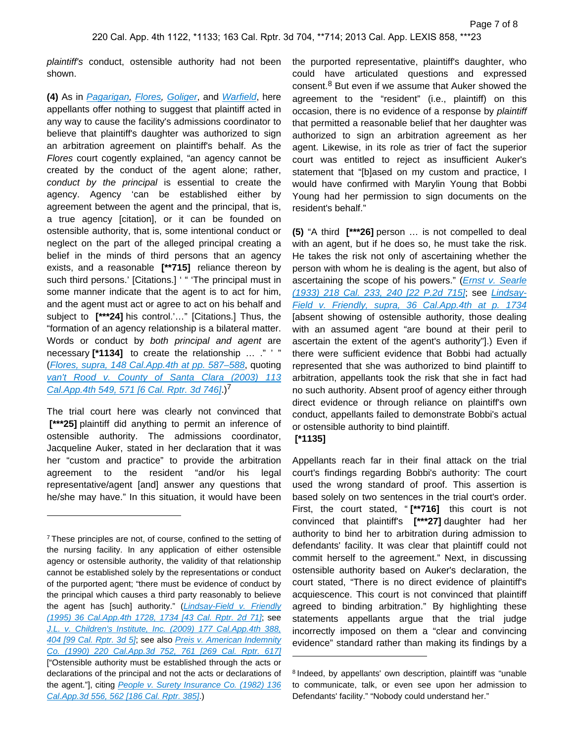plaintiff's conduct, ostensible authority had not been shown.

**(4)** As in [Pagarigan,](https://plus.lexis.com/api/document?collection=cases&id=urn:contentItem:4621-SXG0-0039-42S3-00000-00&context=1530671) [Flores,](https://plus.lexis.com/api/document?collection=cases&id=urn:contentItem:4N81-69K0-0039-40SC-00000-00&context=1530671) [Goliger](https://plus.lexis.com/api/document?collection=cases&id=urn:contentItem:4DKV-MWW0-0039-429F-00000-00&context=1530671), and [Warfield](https://plus.lexis.com/api/document?collection=cases&id=urn:contentItem:4RFD-S0X0-TXFN-7370-00000-00&context=1530671), here appellants offer nothing to suggest that plaintiff acted in any way to cause the facility's admissions coordinator to believe that plaintiff's daughter was authorized to sign an arbitration agreement on plaintiff's behalf. As the Flores court cogently explained, "an agency cannot be created by the conduct of the agent alone; rather, conduct by the principal is essential to create the agency. Agency 'can be established either by agreement between the agent and the principal, that is, a true agency [citation], or it can be founded on ostensible authority, that is, some intentional conduct or neglect on the part of the alleged principal creating a belief in the minds of third persons that an agency exists, and a reasonable **[\*\*715]** reliance thereon by such third persons.' [Citations.] ' " 'The principal must in some manner indicate that the agent is to act for him, and the agent must act or agree to act on his behalf and subject to **[\*\*\*24]** his control.'…" [Citations.] Thus, the "formation of an agency relationship is a bilateral matter. Words or conduct by both principal and agent are necessary **[\*1134]** to create the relationship … ." ' " ([Flores, supra, 148 Cal.App.4th at pp. 587–588](https://plus.lexis.com/api/document?collection=cases&id=urn:contentItem:4N81-69K0-0039-40SC-00000-00&context=1530671), quoting van't Rood v. County of Santa Clara (2003) 113 Cal. App. 4th 549, 571 [6 Cal. Rptr. 3d 746].)<sup>7</sup>

The trial court here was clearly not convinced that  **[\*\*\*25]** plaintiff did anything to permit an inference of ostensible authority. The admissions coordinator, Jacqueline Auker, stated in her declaration that it was her "custom and practice" to provide the arbitration agreement to the resident "and/or his legal representative/agent [and] answer any questions that he/she may have." In this situation, it would have been

the purported representative, plaintiff's daughter, who could have articulated questions and expressed consent.<sup>8</sup> But even if we assume that Auker showed the agreement to the "resident" (i.e., plaintiff) on this occasion, there is no evidence of a response by plaintiff that permitted a reasonable belief that her daughter was authorized to sign an arbitration agreement as her agent. Likewise, in its role as trier of fact the superior court was entitled to reject as insufficient Auker's statement that "[b]ased on my custom and practice, I would have confirmed with Marylin Young that Bobbi Young had her permission to sign documents on the resident's behalf."

**(5)** "A third **[\*\*\*26]** person … is not compelled to deal with an agent, but if he does so, he must take the risk. He takes the risk not only of ascertaining whether the person with whom he is dealing is the agent, but also of ascertaining the scope of his powers." (*Ernst v. Searle* [\(1933\) 218 Cal. 233, 240 \[22 P.2d 715\]](https://plus.lexis.com/api/document?collection=cases&id=urn:contentItem:3RRS-9DH0-003D-W3KS-00000-00&context=1530671); see [Lindsay-](https://plus.lexis.com/api/document?collection=cases&id=urn:contentItem:3RX6-FMJ0-003D-J4CN-00000-00&context=1530671)[Field v. Friendly, supra, 36 Cal.App.4th at p. 1734](https://plus.lexis.com/api/document?collection=cases&id=urn:contentItem:3RX6-FMJ0-003D-J4CN-00000-00&context=1530671) [absent showing of ostensible authority, those dealing with an assumed agent "are bound at their peril to ascertain the extent of the agent's authority"].) Even if there were sufficient evidence that Bobbi had actually represented that she was authorized to bind plaintiff to arbitration, appellants took the risk that she in fact had no such authority. Absent proof of agency either through direct evidence or through reliance on plaintiff's own conduct, appellants failed to demonstrate Bobbi's actual or ostensible authority to bind plaintiff.

 **[\*1135]** 

Appellants reach far in their final attack on the trial court's findings regarding Bobbi's authority: The court used the wrong standard of proof. This assertion is based solely on two sentences in the trial court's order. First, the court stated, " **[\*\*716]** this court is not convinced that plaintiff's **[\*\*\*27]** daughter had her authority to bind her to arbitration during admission to defendants' facility. It was clear that plaintiff could not commit herself to the agreement." Next, in discussing ostensible authority based on Auker's declaration, the court stated, "There is no direct evidence of plaintiff's acquiescence. This court is not convinced that plaintiff agreed to binding arbitration." By highlighting these statements appellants argue that the trial judge incorrectly imposed on them a "clear and convincing evidence" standard rather than making its findings by a

<sup>&</sup>lt;sup>7</sup>These principles are not, of course, confined to the setting of the nursing facility. In any application of either ostensible agency or ostensible authority, the validity of that relationship cannot be established solely by the representations or conduct of the purported agent; "there must be evidence of conduct by the principal which causes a third party reasonably to believe the agent has [such] authority." (Lindsay-Field v. Friendly [\(1995\) 36 Cal.App.4th 1728, 1734 \[43 Cal. Rptr. 2d 71\]](https://plus.lexis.com/api/document?collection=cases&id=urn:contentItem:3RX6-FMJ0-003D-J4CN-00000-00&context=1530671); see [J.L. v. Children's Institute, Inc. \(2009\) 177 Cal.App.4th 388,](https://plus.lexis.com/api/document?collection=cases&id=urn:contentItem:4X50-CTN0-TXFN-72GY-00000-00&context=1530671)  [404 \[99 Cal. Rptr. 3d 5\]](https://plus.lexis.com/api/document?collection=cases&id=urn:contentItem:4X50-CTN0-TXFN-72GY-00000-00&context=1530671); see also [Preis v. American Indemnity](https://plus.lexis.com/api/document?collection=cases&id=urn:contentItem:3RX6-HR40-003D-J2H0-00000-00&context=1530671)  [Co. \(1990\) 220 Cal.App.3d 752, 761 \[269 Cal. Rptr. 617\]](https://plus.lexis.com/api/document?collection=cases&id=urn:contentItem:3RX6-HR40-003D-J2H0-00000-00&context=1530671) ["Ostensible authority must be established through the acts or declarations of the principal and not the acts or declarations of the agent."], citing People v. Surety Insurance Co. (1982) 136 [Cal.App.3d 556, 562 \[186 Cal. Rptr. 385\]](https://plus.lexis.com/api/document?collection=cases&id=urn:contentItem:3RX6-MF80-003D-J4CX-00000-00&context=1530671).)

<sup>&</sup>lt;sup>8</sup> Indeed, by appellants' own description, plaintiff was "unable to communicate, talk, or even see upon her admission to Defendants' facility." "Nobody could understand her."